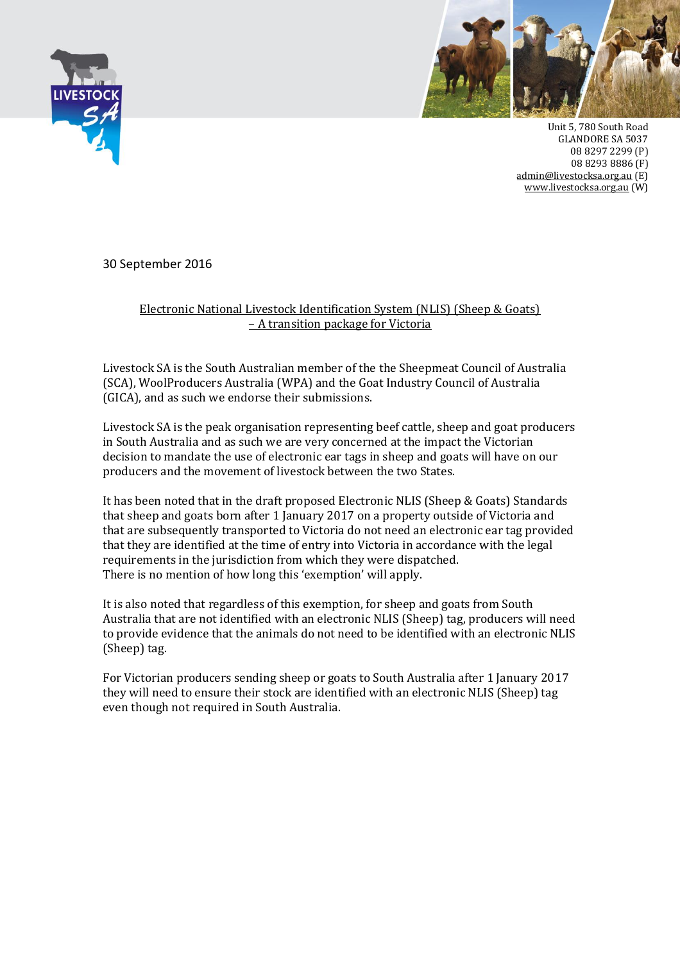



Unit 5, 780 South Road GLANDORE SA 5037 08 8297 2299 (P) 08 8293 8886 (F) [admin@livestocksa.org.au](mailto:admin@livestocksa.org.au) (E) [www.livestocksa.org.au](http://www.livestocksa.org.au/) (W)

30 September 2016

## Electronic National Livestock Identification System (NLIS) (Sheep & Goats) – A transition package for Victoria

Livestock SA is the South Australian member of the the Sheepmeat Council of Australia (SCA), WoolProducers Australia (WPA) and the Goat Industry Council of Australia (GICA), and as such we endorse their submissions.

Livestock SA is the peak organisation representing beef cattle, sheep and goat producers in South Australia and as such we are very concerned at the impact the Victorian decision to mandate the use of electronic ear tags in sheep and goats will have on our producers and the movement of livestock between the two States.

It has been noted that in the draft proposed Electronic NLIS (Sheep & Goats) Standards that sheep and goats born after 1 January 2017 on a property outside of Victoria and that are subsequently transported to Victoria do not need an electronic ear tag provided that they are identified at the time of entry into Victoria in accordance with the legal requirements in the jurisdiction from which they were dispatched. There is no mention of how long this 'exemption' will apply.

It is also noted that regardless of this exemption, for sheep and goats from South Australia that are not identified with an electronic NLIS (Sheep) tag, producers will need to provide evidence that the animals do not need to be identified with an electronic NLIS (Sheep) tag.

For Victorian producers sending sheep or goats to South Australia after 1 January 2017 they will need to ensure their stock are identified with an electronic NLIS (Sheep) tag even though not required in South Australia.